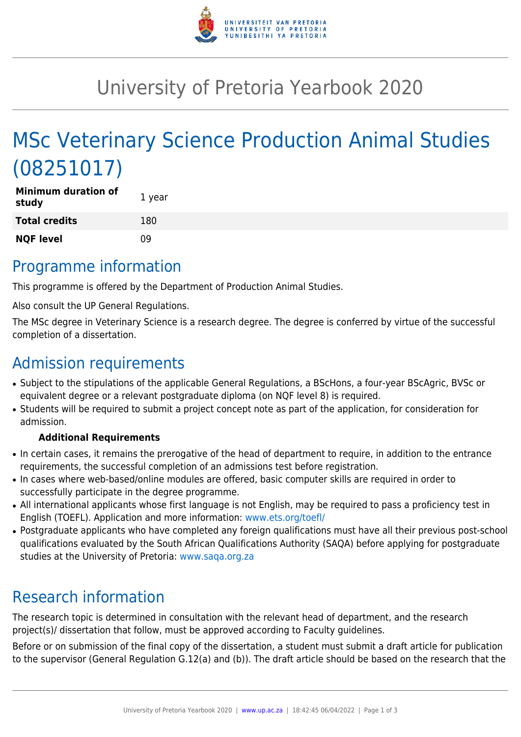

# University of Pretoria Yearbook 2020

# MSc Veterinary Science Production Animal Studies (08251017)

| <b>Minimum duration of</b><br>study | 1 year |
|-------------------------------------|--------|
| <b>Total credits</b>                | 180    |
| <b>NQF level</b>                    | 09     |

### Programme information

This programme is offered by the Department of Production Animal Studies.

Also consult the UP General Regulations.

The MSc degree in Veterinary Science is a research degree. The degree is conferred by virtue of the successful completion of a dissertation.

## Admission requirements

- Subject to the stipulations of the applicable General Regulations, a BScHons, a four-year BScAgric, BVSc or equivalent degree or a relevant postgraduate diploma (on NQF level 8) is required.
- Students will be required to submit a project concept note as part of the application, for consideration for admission.

#### **Additional Requirements**

- In certain cases, it remains the prerogative of the head of department to require, in addition to the entrance requirements, the successful completion of an admissions test before registration.
- In cases where web-based/online modules are offered, basic computer skills are required in order to successfully participate in the degree programme.
- All international applicants whose first language is not English, may be required to pass a proficiency test in English (TOEFL). Application and more information: [www.ets.org/toefl/](http://www.ets.org/toefl/)
- Postgraduate applicants who have completed any foreign qualifications must have all their previous post-school qualifications evaluated by the South African Qualifications Authority (SAQA) before applying for postgraduate studies at the University of Pretoria: [www.saqa.org.za](http://www.saqa.org.za)

## Research information

The research topic is determined in consultation with the relevant head of department, and the research project(s)/ dissertation that follow, must be approved according to Faculty guidelines.

Before or on submission of the final copy of the dissertation, a student must submit a draft article for publication to the supervisor (General Regulation G.12(a) and (b)). The draft article should be based on the research that the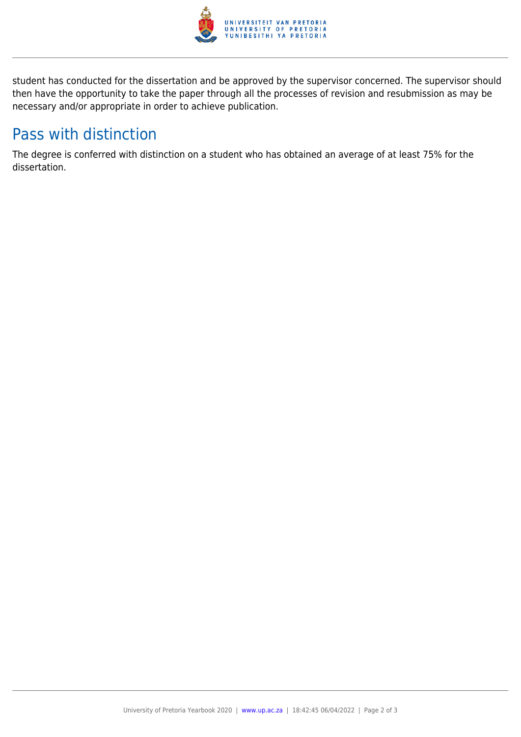

student has conducted for the dissertation and be approved by the supervisor concerned. The supervisor should then have the opportunity to take the paper through all the processes of revision and resubmission as may be necessary and/or appropriate in order to achieve publication.

## Pass with distinction

The degree is conferred with distinction on a student who has obtained an average of at least 75% for the dissertation.